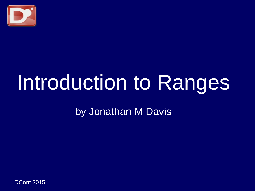

# Introduction to Ranges

by Jonathan M Davis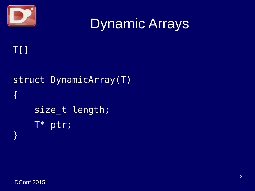

```
T[]
```

```
struct DynamicArray(T)
{
     size_t length;
     T* ptr;
}
```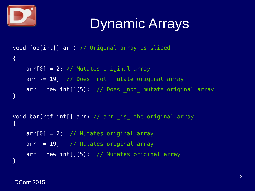

```
void foo(int[] arr) // Original array is sliced
\{arr[0] = 2; // Mutates original array
   arr \sim = 19; // Does _not_ mutate original array
   arr = new int[](5); // Does _not_ mutate original array
}
void bar(ref int[] arr) // arr _is_ the original array
\{arr[0] = 2; // Mutates original array
   arr \sim= 19; // Mutates original array
   arr = new int[](5); // Mutates original array
}
```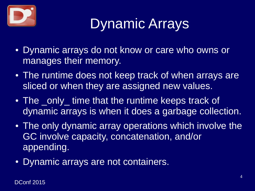

- Dynamic arrays do not know or care who owns or manages their memory.
- The runtime does not keep track of when arrays are sliced or when they are assigned new values.
- The only time that the runtime keeps track of dynamic arrays is when it does a garbage collection.
- The only dynamic array operations which involve the GC involve capacity, concatenation, and/or appending.
- Dynamic arrays are not containers.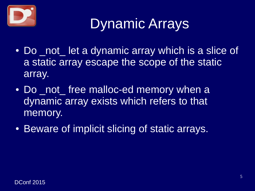

- Do not let a dynamic array which is a slice of a static array escape the scope of the static array.
- Do not free malloc-ed memory when a dynamic array exists which refers to that memory.
- Beware of implicit slicing of static arrays.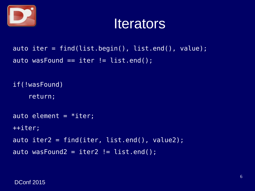

#### **Iterators**

auto iter = find(list.begin(), list.end(), value); auto wasFound  $==$  iter  $!=$  list.end();

```
if(!wasFound)
     return;
auto element = *iter;
++iter;
auto iter2 = find(iter, list.end(), value2);
auto wasFound2 = iter2 != list.end();
```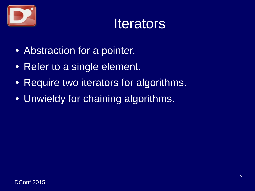

#### **Iterators**

- Abstraction for a pointer.
- Refer to a single element.
- Require two iterators for algorithms.
- Unwieldy for chaining algorithms.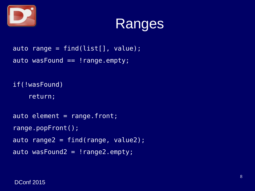



```
\overline{a}uto range = find(list[], value);
auto wasFound == !range.empty;
```

```
if(!wasFound)
      return;
auto element = range.front;
range.popFront();
auto range2 = \text{find}(\text{range}, \text{value2});auto wasFound2 = !\text{range2.empty};
```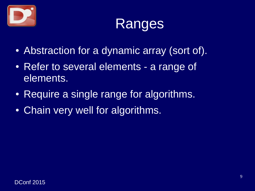



- Abstraction for a dynamic array (sort of).
- Refer to several elements a range of elements.
- Require a single range for algorithms.
- Chain very well for algorithms.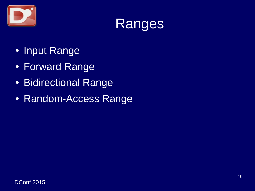



- Input Range
- Forward Range
- Bidirectional Range
- Random-Access Range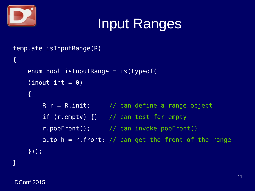

```
template isInputRange(R)
{
     enum bool isInputRange = is(typeof(
    (inout int = 0) {
        R r = R.init; \frac{1}{2} can define a range object
         if (r.empty) {} // can test for empty
         r.popFront(); // can invoke popFront()
        auto h = r. front; // can get the front of the range
     }));
}
```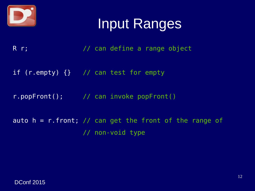

- R r;  $\frac{1}{2}$  // can define a range object
- if (r.empty) {} // can test for empty
- r.popFront(); // can invoke popFront()
- auto  $h = r$ . front; // can get the front of the range of // non-void type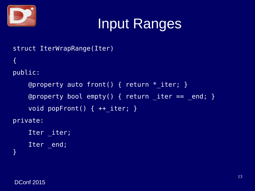

```
struct IterWrapRange(Iter)
{
public:
     @property auto front() { return *_iter; }
    @property bool empty() { return iter == end; }
     void popFront() { ++_iter; }
private:
    Iter iter;
    Iter end;
}
```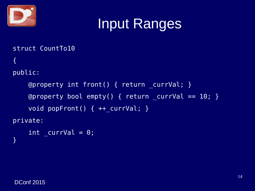

struct CountTo10 {

```
public:
```

```
 @property int front() { return _currVal; }
   Qproperty bool empty() { return currVal == 10; }
   void popFront() { ++ currVal; }
private:
```

```
int curval = 0;
}
```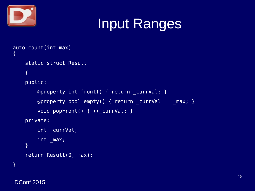

```
auto count(int max)
\{ static struct Result
    \{ public:
         @property int front() { return _currVal; }
         @property bool empty() { return _currVal == _max; }
         void popFront() { ++_currVal; }
     private:
         int _currVal;
         int _max;
     }
     return Result(0, max);
}
```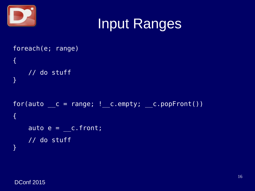



```
foreach(e; range)
{
     // do stuff
}
for(auto _ c = range; ! _ c .empty; _ c .popFront()){
    \overline{auto e} = c.front; // do stuff
}
```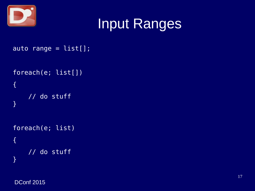

```
auto range = list[];
```

```
foreach(e; list[])
{
     // do stuff
}
foreach(e; list)
{
     // do stuff
```
}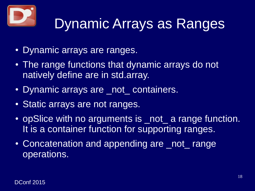

# Dynamic Arrays as Ranges

- Dynamic arrays are ranges.
- The range functions that dynamic arrays do not natively define are in std.array.
- Dynamic arrays are not containers.
- Static arrays are not ranges.
- opSlice with no arguments is not a range function. It is a container function for supporting ranges.
- Concatenation and appending are not range operations.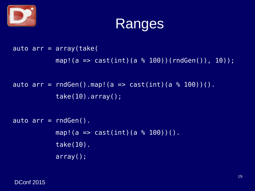



auto  $arr = array(take)$ map!(a => cast(int)(a % 100))(rndGen()), 10));

auto arr = rndGen().map!(a => cast(int)(a  $%$  100))(). take(10).array();

```
auto arr = rndGen().
           map! (a => cast(int)(a % 100))().
            take(10).
            array();
```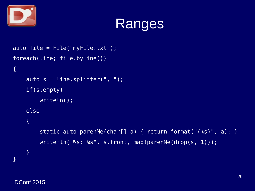



```
auto file = File("myFile.txt");
foreach(line; file.byLine())
{
    auto s = line.splitter(", "); if(s.empty)
         writeln();
     else
    \{ static auto parenMe(char[] a) { return format("(%s)", a); }
         writefln("%s: %s", s.front, map!parenMe(drop(s, 1)));
     }
}
```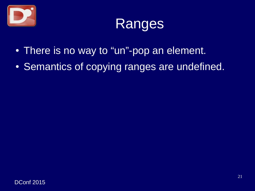



- There is no way to "un"-pop an element.
- Semantics of copying ranges are undefined.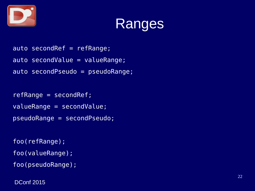



```
auto secondRef = refRange;
auto secondValue = valueRange;
auto secondPseudo = pseudoRange;
```

```
refRange = secondRef;
valueRange = secondValue;
pseudoRange = secondPseudo;
```

```
foo(refRange);
foo(valueRange);
foo(pseudoRange);
```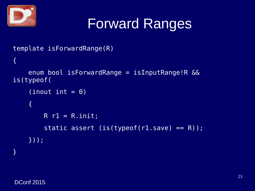

```
template isForwardRange(R)
{
     enum bool isForwardRange = isInputRange!R && 
is(typeof(
    (inout int = 0) {
        R r1 = R.init;static assert (is(typeof(r1.save) == R));
     }));
}
```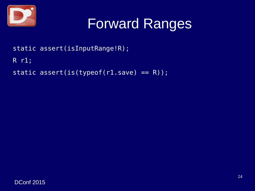

static assert(isInputRange!R);

R r1;

static assert(is(typeof( $r1.save$ ) == R));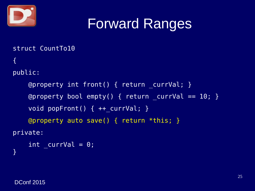

struct CountTo10  $\{$ 

#### public:

```
 @property int front() { return _currVal; }
    @property bool empty() { return currVal == 10; }
    void popFront() { ++ currVal; }
     @property auto save() { return *this; }
private:
```

```
int curval = 0;
}
```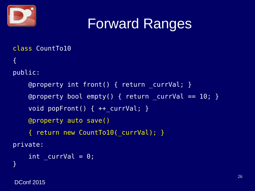

class CountTo10  $\{$ 

#### public:

```
 @property int front() { return _currVal; }
    @property bool empty() { return currVal == 10; }
    void popFront() { ++ currVal; }
     @property auto save()
     { return new CountTo10(_currVal); }
private:
```

```
int curval = 0;
}
```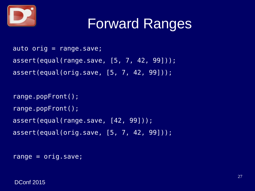

```
auto orig = range. save;
assert(equal(range.save, [5, 7, 42, 99]));
assert(equal(orig.save, [5, 7, 42, 99]));
```

```
range.popFront();
range.popFront();
assert(equal(range.save, [42, 99]));
assert(equal(orig.save, [5, 7, 42, 99]));
```

```
range = orig.save;
```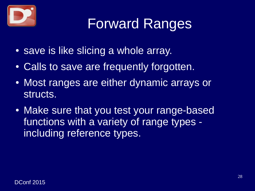

- save is like slicing a whole array.
- Calls to save are frequently forgotten.
- Most ranges are either dynamic arrays or structs.
- Make sure that you test your range-based functions with a variety of range types including reference types.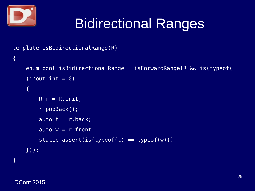

 $\{$ 

# Bidirectional Ranges

```
template isBidirectionalRange(R)
```

```
 enum bool isBidirectionalRange = isForwardRange!R && is(typeof(
(inout int = 0)\{R r = R.init; r.popBack();
    auto t = r.back;\overline{a}uto w = r.front;
    static assert(is(typeof(t) == typeof(w)));
 }));
```
**}**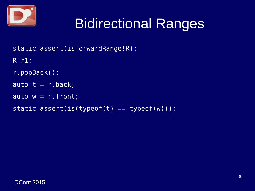

# Bidirectional Ranges

static assert(isForwardRange!R);

R r1;

```
r.popBack();
```

```
auto t = r.back;
```

```
auto w = r. front;
```

```
static assert(is(typeof(t) == typeof(w)));
```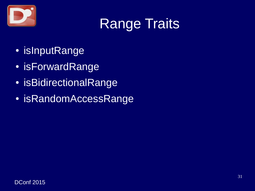

- isInputRange
- isForwardRange
- isBidirectionalRange
- isRandomAccessRange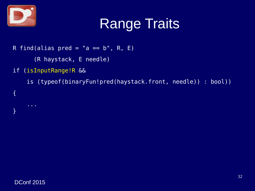

{

}

# Range Traits

- R find(alias pred = "a ==  $b$ ", R, E)
	- (R haystack, E needle)
- if (isInputRange!R &&
	- is (typeof(binaryFun!pred(haystack.front, needle)) : bool))

...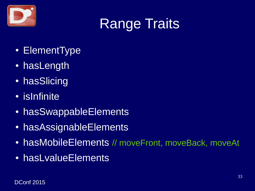

- ElementType
- hasLength
- hasSlicing
- isInfinite
- hasSwappableElements
- hasAssignableElements
- hasMobileElements // moveFront, moveBack, moveAt
- hasLvalueElements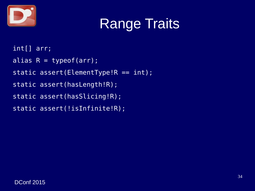

int[] arr;

- alias  $R = typeof(arr)$ ;
- static assert(ElementType!R == int);
- static assert(hasLength!R);
- static assert(hasSlicing!R);
- static assert(!isInfinite!R);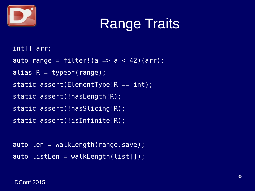

```
int[] arr;
auto range = filter!(a \Rightarrow a < 42)(arr);
alias R = typeof(range);static assert(ElementType!R == int);
static assert(!hasLength!R);
static assert(!hasSlicing!R);
static assert(!isInfinite!R);
```

```
auto len = walkLength(range.save);
auto listLen = walkLength(list[]);
```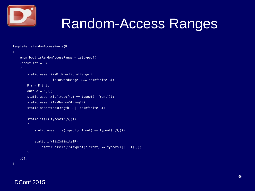

# Random-Access Ranges

```
template isRandomAccessRange(R)
```

```
{
    enum bool isRandomAccessRange = is(typeof(
    (inout int = 0) {
         static assert(isBidirectionalRange!R ||
                       isForwardRange!R && isInfinite!R);
        R r = R.init;
        auto e = r[1];
        static assert(is(typeof(e) == typeof(r.front)));
        static assert(!isNarrowString!R);
        static assert(hasLength!R || isInfinite!R);
         static if(is(typeof(r[$])))
         {
            static assert(is(typeof(r.front) == typeof(r[$1]));
             static if(!isInfinite!R)
                static assert(is(typeof(r.front) == typeof(r[$ - 1])));
         }
    }));
}
```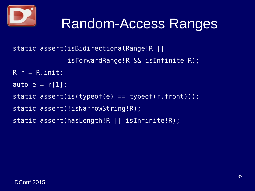

#### Random-Access Ranges

static assert(isBidirectionalRange!R ||

isForwardRange!R && isInfinite!R);

```
R r = R.init;
```
auto  $e = r[1]$ ;

static assert(is(typeof(e) == typeof(r.front)));

static assert(!isNarrowString!R);

static assert(hasLength!R || isInfinite!R);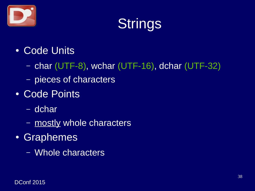

- Code Units
	- char (UTF-8), wchar (UTF-16), dchar (UTF-32)
	- pieces of characters
- Code Points
	- dchar
	- mostly whole characters
- Graphemes
	- Whole characters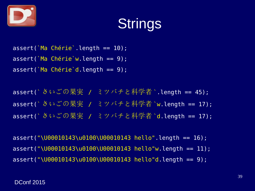

assert(`Ma Chérie`.length == 10); assert(`Ma Chérie`w.length == 9); assert(`Ma Chérie`d.length == 9);

assert(`さいごの果実 / ミツバチと科学者`.length == 45); assert(`さいごの果実 / ミツバチと科学者 `w.length == 17); assert( さいごの果実 / ミツバチと科学者 d.length == 17);

assert("\U00010143\u0100\U00010143 hello".length == 16); assert("\U00010143\u0100\U00010143 hello"w.length == 11); assert("\U00010143\u0100\U00010143 hello"d.length == 9);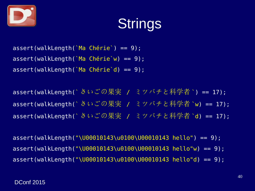

assert(walkLength(`Ma Chérie`) == 9); assert(walkLength(`Ma Chérie`w) == 9); assert(walkLength(`Ma Chérie`d) == 9);

assert(walkLength(`さいごの果実 / ミツバチと科学者`) == 17); assert(walkLength(`さいごの果実 / ミツバチと科学者 `w) == 17); assert(walkLength(`さいごの果実 / ミツバチと科学者 `d) == 17);

assert(walkLength("\U00010143\u0100\U00010143 hello") == 9); assert(walkLength("\U00010143\u0100\U00010143 hello"w) == 9); assert(walkLength("\U00010143\u0100\U00010143 hello"d) == 9);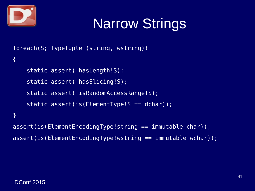

# Narrow Strings

```
foreach(S; TypeTuple!(string, wstring))
{
    static assert(!hasLength!S);
    static assert(!hasSlicing!S);
    static assert(!isRandomAccessRange!S);
    static assert(is(ElementType!S == dchar));
}
assert(is(ElementEncodingType!string == immutable char));
assert(is(ElementEncodingType!wstring == immutable wchar));
```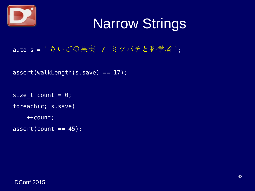

# Narrow Strings

auto s = ` さいごの果実 / ミツバチと科学者 `;

assert(walkLength(s.save) == 17);

size\_t count =  $0$ ; foreach(c; s.save) ++count;  $assert(count == 45);$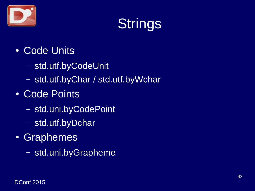

- Code Units
	- std.utf.byCodeUnit
	- std.utf.byChar / std.utf.byWchar
- Code Points
	- std.uni.byCodePoint
	- std.utf.byDchar
- Graphemes
	- std.uni.byGrapheme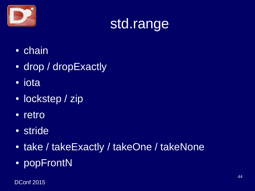

# std.range

- chain
- drop / dropExactly
- iota
- lockstep / zip
- retro
- stride
- take / takeExactly / takeOne / takeNone
- popFrontN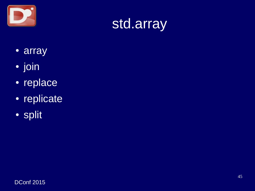



- array
- join
- replace
- replicate
- · split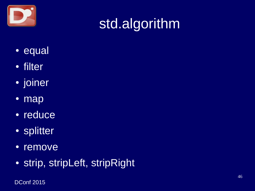

# std.algorithm

- equal
- filter
- joiner
- map
- reduce
- splitter
- remove
- strip, stripLeft, stripRight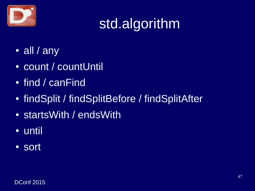

# std.algorithm

- $\cdot$  all / any
- count / countUntil
- find / canFind
- findSplit / findSplitBefore / findSplitAfter
- startsWith / endsWith
- until
- sort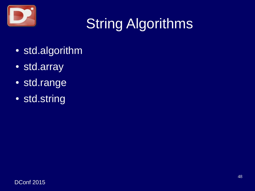

# String Algorithms

- std.algorithm
- std.array
- std.range
- std.string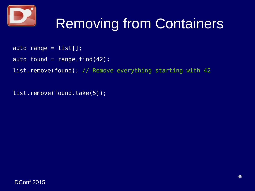

# Removing from Containers

- auto range =  $list[]$ ;
- auto found = range.find $(42)$ ;
- list.remove(found); // Remove everything starting with 42

list.remove(found.take(5));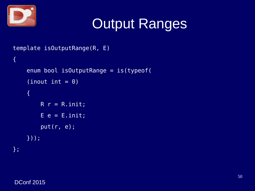

# Output Ranges

```
template isOutputRange(R, E)
{
     enum bool isOutputRange = is(typeof(
    (inout int = 0) {
        R r = R. init;
        E e = E.init; put(r, e);
     }));
};
```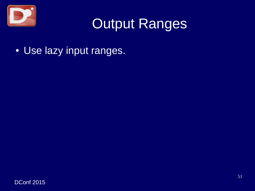

### Output Ranges

• Use lazy input ranges.